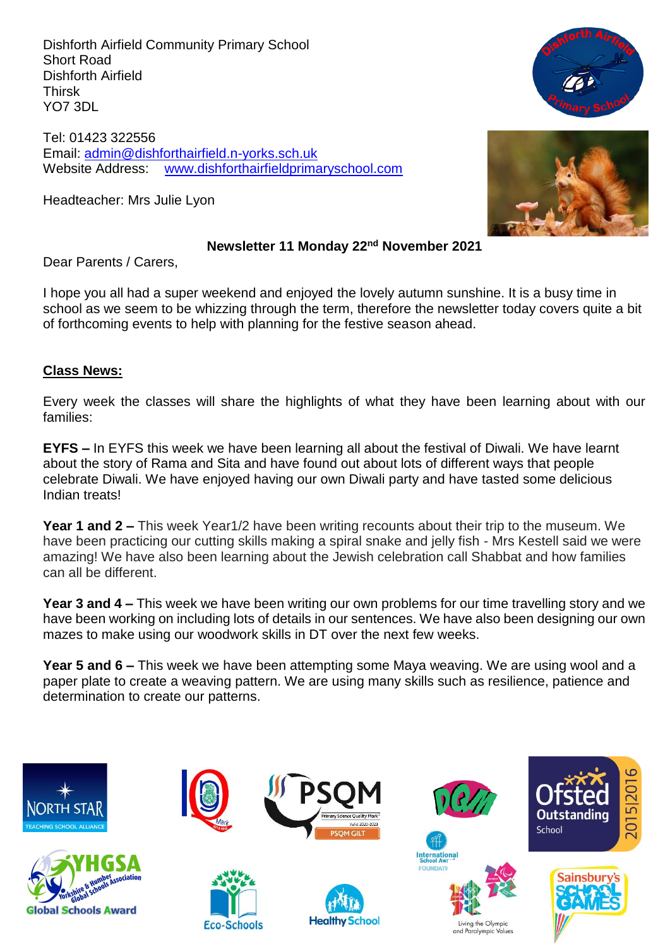Dishforth Airfield Community Primary School Short Road Dishforth Airfield Thirsk YO7 3DL

Tel: 01423 322556 Email: [admin@dishforthairfield.n-yorks.sch.uk](mailto:admin@dishforthairfield.n-yorks.sch.uk) Website Address: [www.dishforthairfieldprimaryschool.com](http://www.dishforthairfieldprimaryschool.com/)

Headteacher: Mrs Julie Lyon





#### **Newsletter 11 Monday 22nd November 2021**

Dear Parents / Carers,

I hope you all had a super weekend and enjoyed the lovely autumn sunshine. It is a busy time in school as we seem to be whizzing through the term, therefore the newsletter today covers quite a bit of forthcoming events to help with planning for the festive season ahead.

#### **Class News:**

Every week the classes will share the highlights of what they have been learning about with our families:

**EYFS –** In EYFS this week we have been learning all about the festival of Diwali. We have learnt about the story of Rama and Sita and have found out about lots of different ways that people celebrate Diwali. We have enjoyed having our own Diwali party and have tasted some delicious Indian treats!

**Year 1 and 2 –** This week Year1/2 have been writing recounts about their trip to the museum. We have been practicing our cutting skills making a spiral snake and jelly fish - Mrs Kestell said we were amazing! We have also been learning about the Jewish celebration call Shabbat and how families can all be different.

**Year 3 and 4 –** This week we have been writing our own problems for our time travelling story and we have been working on including lots of details in our sentences. We have also been designing our own mazes to make using our woodwork skills in DT over the next few weeks.

**Year 5 and 6 –** This week we have been attempting some Maya weaving. We are using wool and a paper plate to create a weaving pattern. We are using many skills such as resilience, patience and determination to create our patterns.

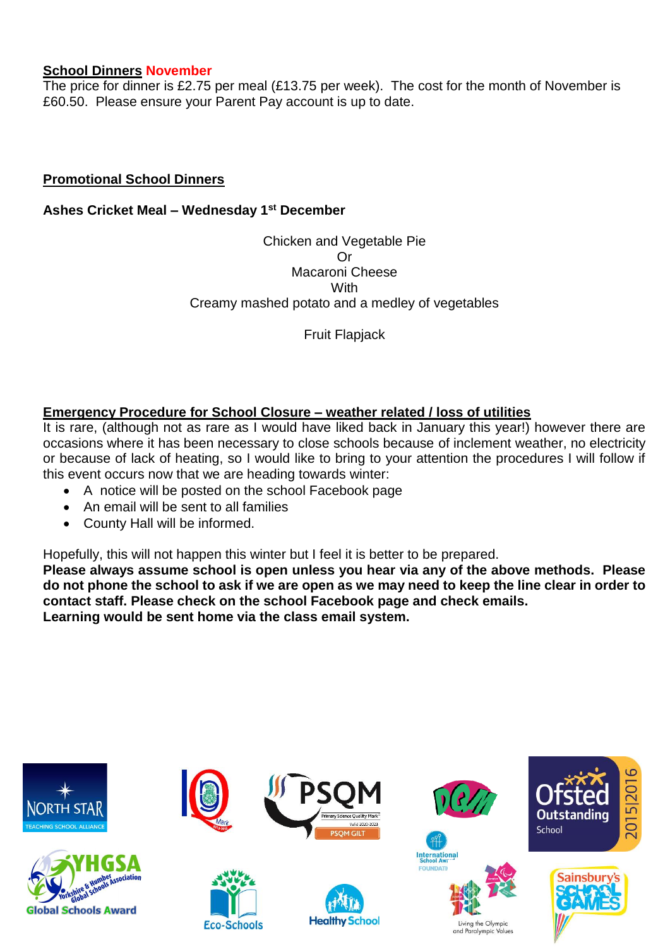#### **School Dinners November**

The price for dinner is £2.75 per meal (£13.75 per week). The cost for the month of November is £60.50. Please ensure your Parent Pay account is up to date.

### **Promotional School Dinners**

**Ashes Cricket Meal – Wednesday 1st December**

Chicken and Vegetable Pie Or Macaroni Cheese **With** Creamy mashed potato and a medley of vegetables

Fruit Flapjack

# **Emergency Procedure for School Closure – weather related / loss of utilities**

It is rare, (although not as rare as I would have liked back in January this year!) however there are occasions where it has been necessary to close schools because of inclement weather, no electricity or because of lack of heating, so I would like to bring to your attention the procedures I will follow if this event occurs now that we are heading towards winter:

- A notice will be posted on the school Facebook page
- An email will be sent to all families
- County Hall will be informed.

Hopefully, this will not happen this winter but I feel it is better to be prepared.

**Please always assume school is open unless you hear via any of the above methods. Please do not phone the school to ask if we are open as we may need to keep the line clear in order to contact staff. Please check on the school Facebook page and check emails. Learning would be sent home via the class email system.**

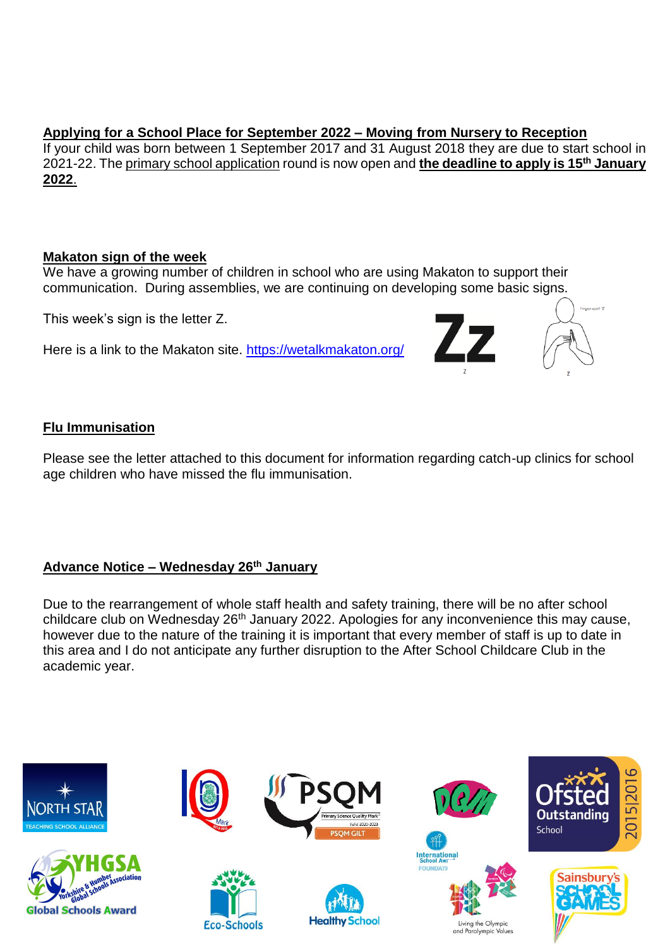# **Applying for a School Place for September 2022 – Moving from Nursery to Reception**

If your child was born between 1 September 2017 and 31 August 2018 they are due to start school in 2021-22. Th[e primary school application](https://www.northyorks.gov.uk/applying-place-primary-school) round is now open and **the deadline to apply is 15th January 2022**.

### **Makaton sign of the week**

We have a growing number of children in school who are using Makaton to support their communication. During assemblies, we are continuing on developing some basic signs.

This week's sign is the letter Z.

Here is a link to the Makaton site. https://wetalkmakaton.org/



# **Flu Immunisation**

Please see the letter attached to this document for information regarding catch-up clinics for school age children who have missed the flu immunisation.

# **Advance Notice – Wednesday 26th January**

Due to the rearrangement of whole staff health and safety training, there will be no after school childcare club on Wednesday 26<sup>th</sup> January 2022. Apologies for any inconvenience this may cause, however due to the nature of the training it is important that every member of staff is up to date in this area and I do not anticipate any further disruption to the After School Childcare Club in the academic year.

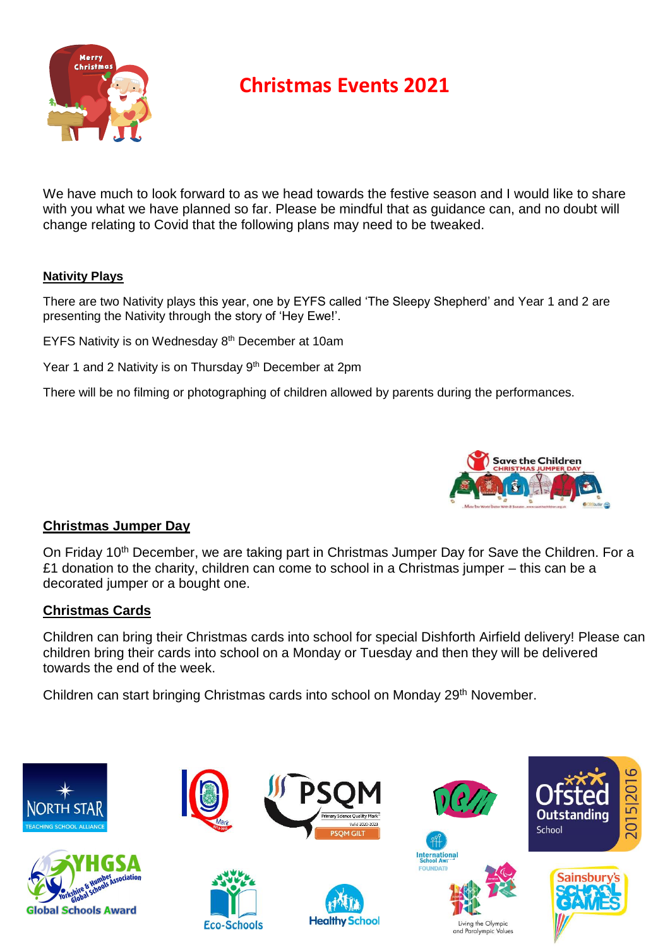

# **Christmas Events 2021**

We have much to look forward to as we head towards the festive season and I would like to share with you what we have planned so far. Please be mindful that as guidance can, and no doubt will change relating to Covid that the following plans may need to be tweaked.

#### **Nativity Plays**

There are two Nativity plays this year, one by EYFS called 'The Sleepy Shepherd' and Year 1 and 2 are presenting the Nativity through the story of 'Hey Ewe!'.

EYFS Nativity is on Wednesday 8<sup>th</sup> December at 10am

Year 1 and 2 Nativity is on Thursday 9<sup>th</sup> December at 2pm

There will be no filming or photographing of children allowed by parents during the performances.



#### **Christmas Jumper Day**

On Friday 10<sup>th</sup> December, we are taking part in Christmas Jumper Day for Save the Children. For a £1 donation to the charity, children can come to school in a Christmas jumper – this can be a decorated jumper or a bought one.

#### **Christmas Cards**

Children can bring their Christmas cards into school for special Dishforth Airfield delivery! Please can children bring their cards into school on a Monday or Tuesday and then they will be delivered towards the end of the week.

Children can start bringing Christmas cards into school on Monday 29<sup>th</sup> November.

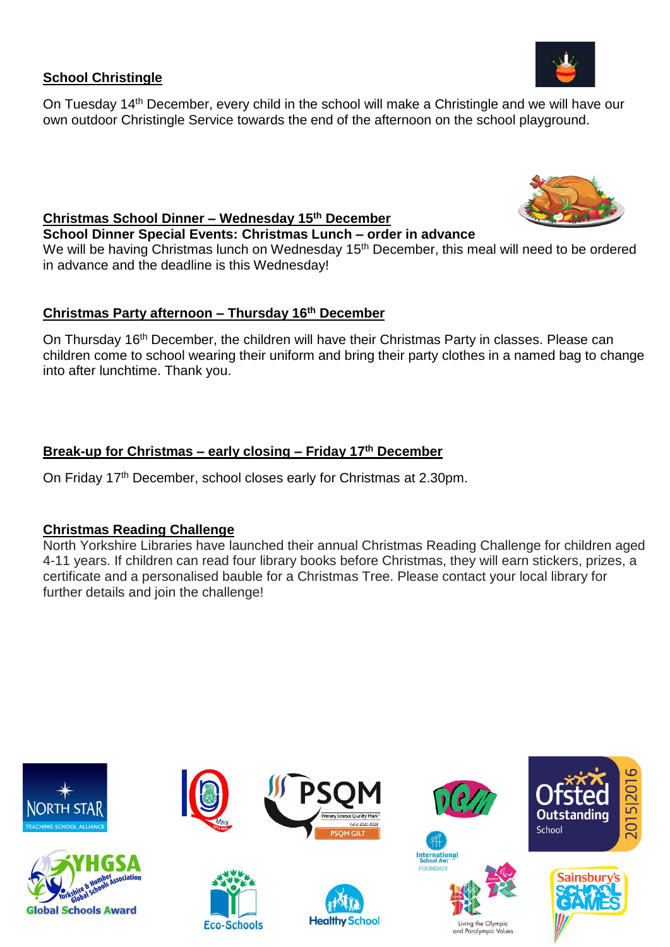## **School Christingle**

On Tuesday 14th December, every child in the school will make a Christingle and we will have our own outdoor Christingle Service towards the end of the afternoon on the school playground.



# **Christmas School Dinner – Wednesday 15 th December**

**School Dinner Special Events: Christmas Lunch – order in advance** 

We will be having Christmas lunch on Wednesday 15<sup>th</sup> December, this meal will need to be ordered in advance and the deadline is this Wednesday!

# **Christmas Party afternoon – Thursday 16 th December**

On Thursday 16<sup>th</sup> December, the children will have their Christmas Party in classes. Please can children come to school wearing their uniform and bring their party clothes in a named bag to change into after lunchtime. Thank you.

# **Break-up for Christmas – early closing – Friday 17 th December**

On Friday 17<sup>th</sup> December, school closes early for Christmas at 2.30pm.

# **Christmas Reading Challenge**

North Yorkshire Libraries have launched their annual Christmas Reading Challenge for children aged 4-11 years. If children can read four library books before Christmas, they will earn stickers, prizes, a certificate and a personalised bauble for a Christmas Tree. Please contact your local library for further details and join the challenge!

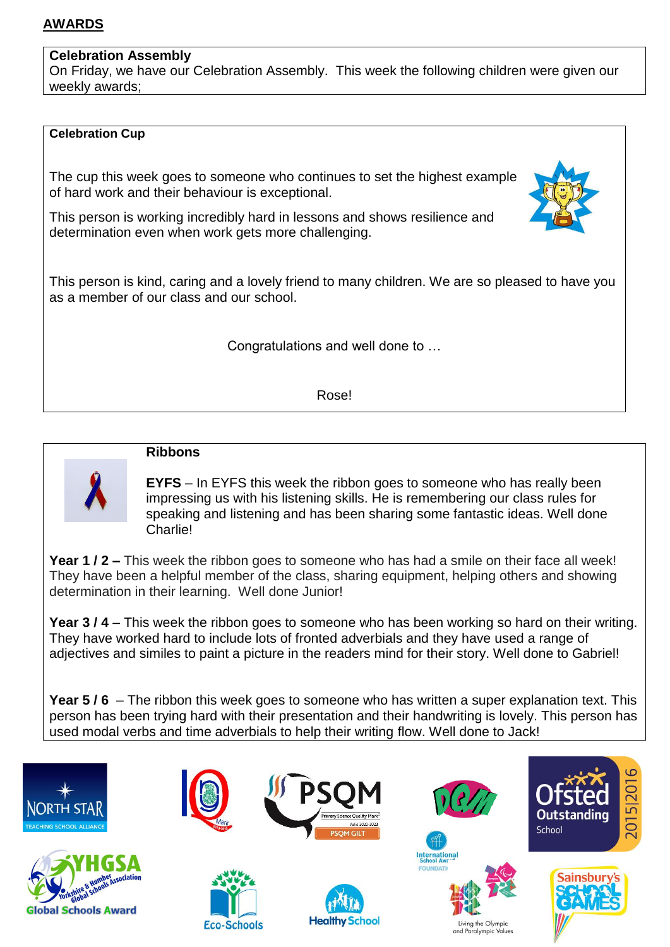# **AWARDS**

#### **Celebration Assembly**

On Friday, we have our Celebration Assembly. This week the following children were given our weekly awards;

#### **Celebration Cup**

The cup this week goes to someone who continues to set the highest example of hard work and their behaviour is exceptional.



This person is kind, caring and a lovely friend to many children. We are so pleased to have you as a member of our class and our school.

Congratulations and well done to …

Rose!



#### **Ribbons**

**EYFS** – In EYFS this week the ribbon goes to someone who has really been impressing us with his listening skills. He is remembering our class rules for speaking and listening and has been sharing some fantastic ideas. Well done Charlie!

**Year 1 / 2 –** This week the ribbon goes to someone who has had a smile on their face all week! They have been a helpful member of the class, sharing equipment, helping others and showing determination in their learning. Well done Junior!

**Year 3 / 4** – This week the ribbon goes to someone who has been working so hard on their writing. They have worked hard to include lots of fronted adverbials and they have used a range of adjectives and similes to paint a picture in the readers mind for their story. Well done to Gabriel!

**Year 5 / 6** – The ribbon this week goes to someone who has written a super explanation text. This person has been trying hard with their presentation and their handwriting is lovely. This person has used modal verbs and time adverbials to help their writing flow. Well done to Jack!

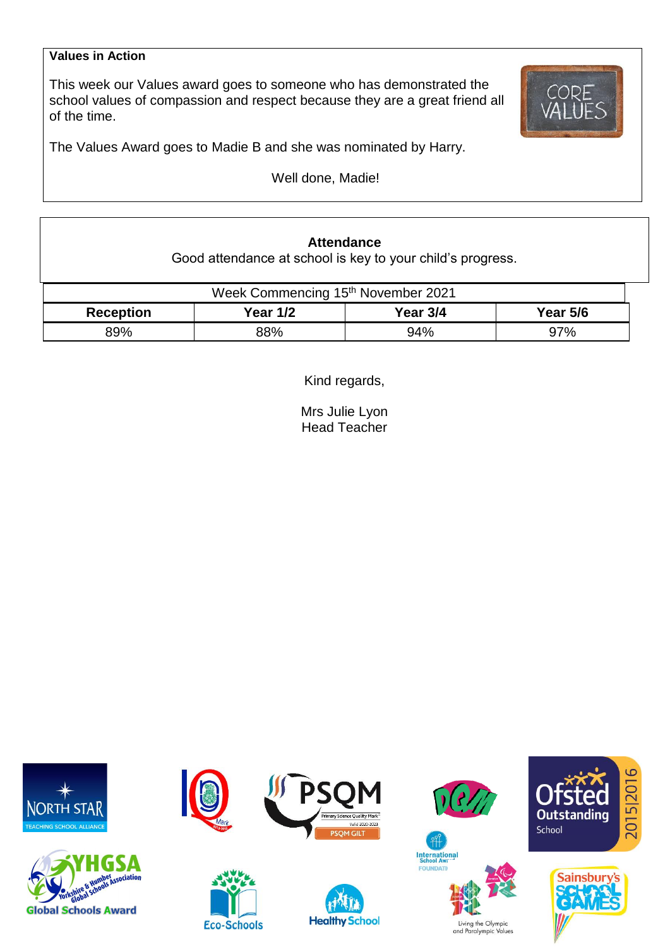#### **Values in Action**

This week our Values award goes to someone who has demonstrated the school values of compassion and respect because they are a great friend all of the time.



The Values Award goes to Madie B and she was nominated by Harry.

Well done, Madie!

# **Attendance**

Good attendance at school is key to your child's progress.

| Week Commencing 15th November 2021 |            |          |                 |  |  |  |
|------------------------------------|------------|----------|-----------------|--|--|--|
| <b>Reception</b>                   | Year $1/2$ | Year 3/4 | <b>Year 5/6</b> |  |  |  |
| 89%                                | 88%        | 94%      | 97%             |  |  |  |

Kind regards,

Mrs Julie Lyon Head Teacher